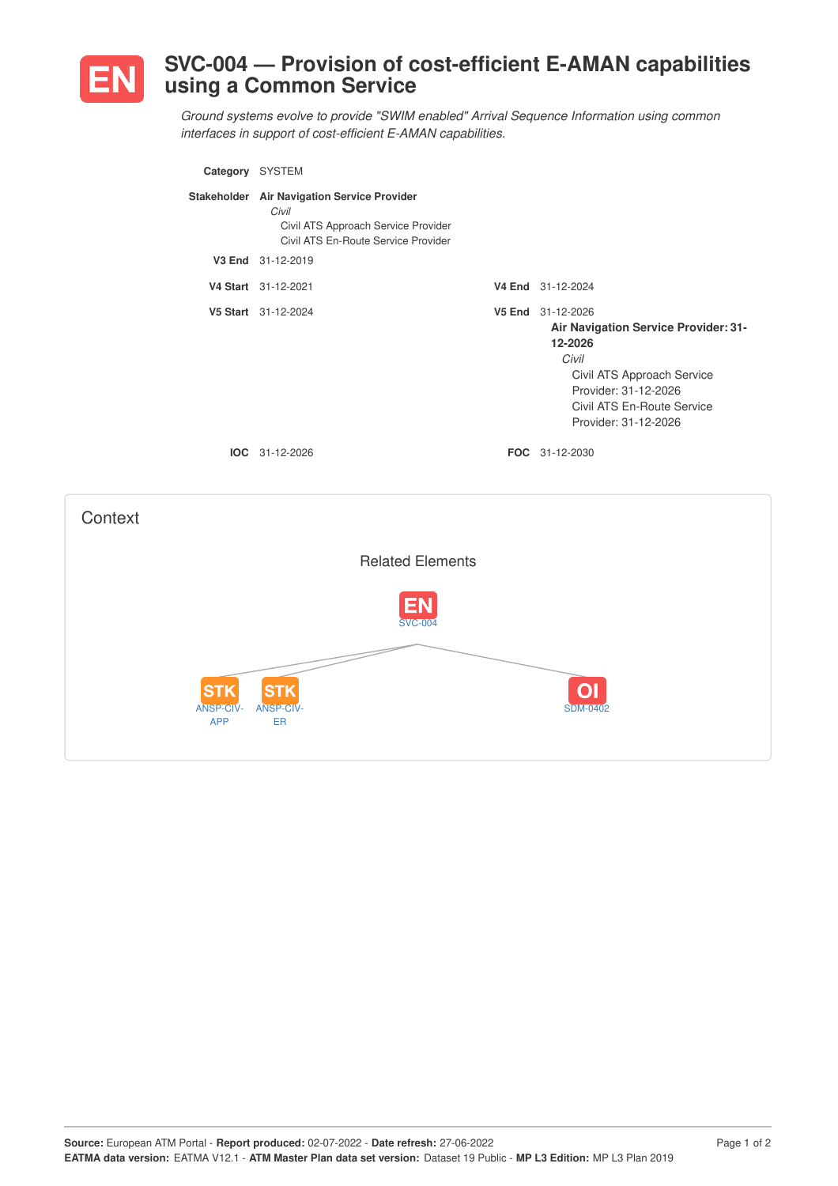

## **SVC-004 — Provision of cost-efficient E-AMAN capabilities using a Common Service**

*Ground systems evolve to provide "SWIM enabled" Arrival Sequence Information using common interfaces in support of cost-efficient E-AMAN capabilities.*

| Category SYSTEM |                                                                                                                                    |                                                                                                                                                                                           |
|-----------------|------------------------------------------------------------------------------------------------------------------------------------|-------------------------------------------------------------------------------------------------------------------------------------------------------------------------------------------|
|                 | Stakeholder Air Navigation Service Provider<br>Civil<br>Civil ATS Approach Service Provider<br>Civil ATS En-Route Service Provider |                                                                                                                                                                                           |
|                 | V3 End 31-12-2019                                                                                                                  |                                                                                                                                                                                           |
|                 | V4 Start 31-12-2021                                                                                                                | V4 End 31-12-2024                                                                                                                                                                         |
|                 | V5 Start 31-12-2024                                                                                                                | V5 End 31-12-2026<br>Air Navigation Service Provider: 31-<br>12-2026<br>Civil<br>Civil ATS Approach Service<br>Provider: 31-12-2026<br>Civil ATS En-Route Service<br>Provider: 31-12-2026 |
|                 | IOC 31-12-2026                                                                                                                     | <b>FOC</b> 31-12-2030                                                                                                                                                                     |
|                 |                                                                                                                                    |                                                                                                                                                                                           |